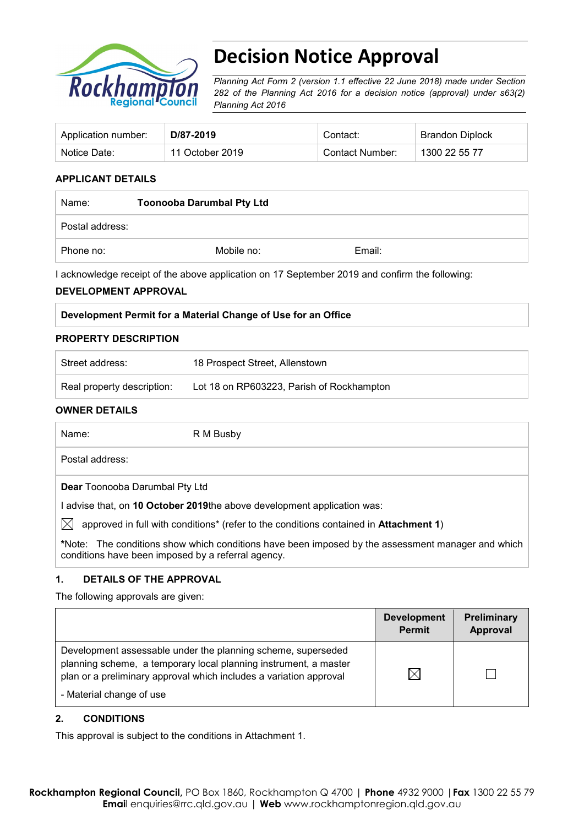

# **Decision Notice Approval**

*Planning Act Form 2 (version 1.1 effective 22 June 2018) made under Section 282 of the Planning Act 2016 for a decision notice (approval) under s63(2) Planning Act 2016*

| Application number: | D/87-2019       | Contact:        | Brandon Diplock |
|---------------------|-----------------|-----------------|-----------------|
| Notice Date:        | 11 October 2019 | Contact Number: | 1300 22 55 77   |

#### **APPLICANT DETAILS**

| Name:           | <b>Toonooba Darumbal Pty Ltd</b> |        |  |
|-----------------|----------------------------------|--------|--|
| Postal address: |                                  |        |  |
| Phone no:       | Mobile no:                       | Email: |  |

I acknowledge receipt of the above application on 17 September 2019 and confirm the following:

#### **DEVELOPMENT APPROVAL**

| Development Permit for a Material Change of Use for an Office |
|---------------------------------------------------------------|
|---------------------------------------------------------------|

#### **PROPERTY DESCRIPTION**

| Street address:            | 18 Prospect Street, Allenstown            |
|----------------------------|-------------------------------------------|
| Real property description: | Lot 18 on RP603223, Parish of Rockhampton |

#### **OWNER DETAILS**

Name: R M Busby Postal address:

**Dear** Toonooba Darumbal Pty Ltd

I advise that, on **10 October 2019**the above development application was:

 $\boxtimes$  approved in full with conditions<sup>\*</sup> (refer to the conditions contained in **Attachment 1**)

**\***Note:The conditions show which conditions have been imposed by the assessment manager and which conditions have been imposed by a referral agency.

### **1. DETAILS OF THE APPROVAL**

The following approvals are given:

|                                                                                                                                                                                                                                    | <b>Development</b><br><b>Permit</b> | Preliminary<br>Approval |
|------------------------------------------------------------------------------------------------------------------------------------------------------------------------------------------------------------------------------------|-------------------------------------|-------------------------|
| Development assessable under the planning scheme, superseded<br>planning scheme, a temporary local planning instrument, a master<br>plan or a preliminary approval which includes a variation approval<br>- Material change of use | $\boxtimes$                         |                         |

#### **2. CONDITIONS**

This approval is subject to the conditions in Attachment 1.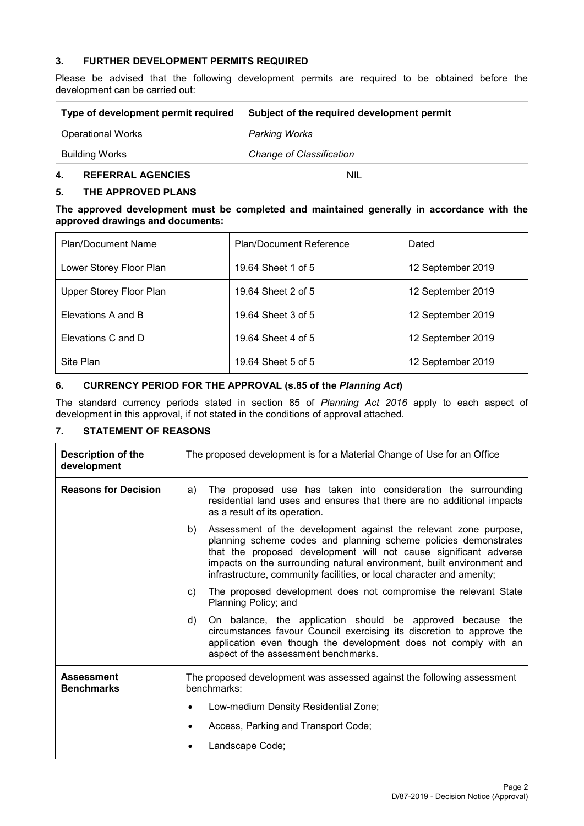#### **3. FURTHER DEVELOPMENT PERMITS REQUIRED**

Please be advised that the following development permits are required to be obtained before the development can be carried out:

| Type of development permit required | Subject of the required development permit |  |
|-------------------------------------|--------------------------------------------|--|
| <b>Operational Works</b>            | Parking Works                              |  |
| Building Works                      | <b>Change of Classification</b>            |  |

#### **4. REFERRAL AGENCIES** NIL

#### **5. THE APPROVED PLANS**

#### **The approved development must be completed and maintained generally in accordance with the approved drawings and documents:**

| <b>Plan/Document Name</b> | <b>Plan/Document Reference</b> | Dated             |
|---------------------------|--------------------------------|-------------------|
| Lower Storey Floor Plan   | 19.64 Sheet 1 of 5             | 12 September 2019 |
| Upper Storey Floor Plan   | 19.64 Sheet 2 of 5             | 12 September 2019 |
| Elevations A and B        | 19.64 Sheet 3 of 5             | 12 September 2019 |
| Elevations C and D        | 19.64 Sheet 4 of 5             | 12 September 2019 |
| Site Plan                 | 19.64 Sheet 5 of 5             | 12 September 2019 |

### **6. CURRENCY PERIOD FOR THE APPROVAL (s.85 of the** *Planning Act***)**

The standard currency periods stated in section 85 of *Planning Act 2016* apply to each aspect of development in this approval, if not stated in the conditions of approval attached.

#### **7. STATEMENT OF REASONS**

| <b>Description of the</b><br>development | The proposed development is for a Material Change of Use for an Office                                                                                                                                                                                                                                                                                          |  |
|------------------------------------------|-----------------------------------------------------------------------------------------------------------------------------------------------------------------------------------------------------------------------------------------------------------------------------------------------------------------------------------------------------------------|--|
| <b>Reasons for Decision</b>              | The proposed use has taken into consideration the surrounding<br>a)<br>residential land uses and ensures that there are no additional impacts<br>as a result of its operation.                                                                                                                                                                                  |  |
|                                          | Assessment of the development against the relevant zone purpose,<br>b)<br>planning scheme codes and planning scheme policies demonstrates<br>that the proposed development will not cause significant adverse<br>impacts on the surrounding natural environment, built environment and<br>infrastructure, community facilities, or local character and amenity; |  |
|                                          | The proposed development does not compromise the relevant State<br>C)<br>Planning Policy; and                                                                                                                                                                                                                                                                   |  |
|                                          | On balance, the application should be approved because the<br>d)<br>circumstances favour Council exercising its discretion to approve the<br>application even though the development does not comply with an<br>aspect of the assessment benchmarks.                                                                                                            |  |
| <b>Assessment</b><br><b>Benchmarks</b>   | The proposed development was assessed against the following assessment<br>benchmarks:                                                                                                                                                                                                                                                                           |  |
|                                          | Low-medium Density Residential Zone;<br>٠                                                                                                                                                                                                                                                                                                                       |  |
|                                          | Access, Parking and Transport Code;                                                                                                                                                                                                                                                                                                                             |  |
|                                          | Landscape Code;                                                                                                                                                                                                                                                                                                                                                 |  |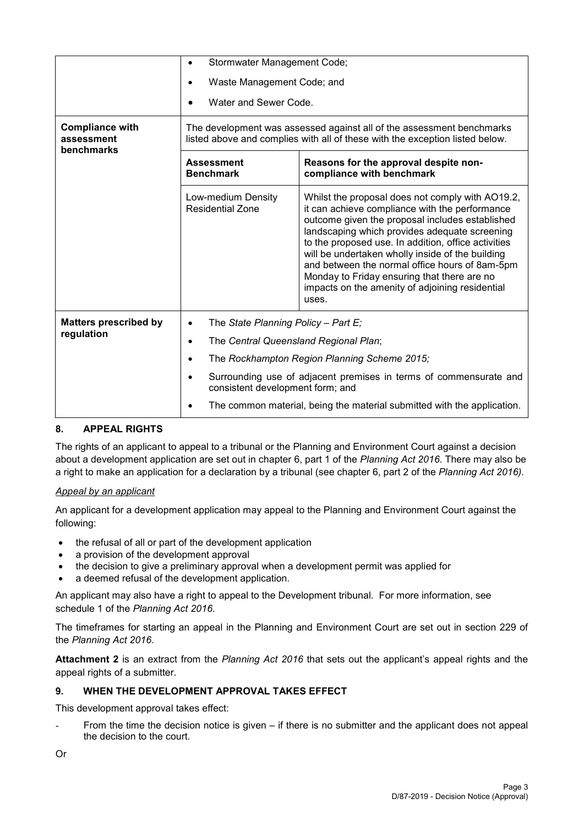|                                                    | Stormwater Management Code;                                                                                                                                                      |                                                                                                                                                                                                                                                                                                                                                                                                                                                                                |  |
|----------------------------------------------------|----------------------------------------------------------------------------------------------------------------------------------------------------------------------------------|--------------------------------------------------------------------------------------------------------------------------------------------------------------------------------------------------------------------------------------------------------------------------------------------------------------------------------------------------------------------------------------------------------------------------------------------------------------------------------|--|
|                                                    | Waste Management Code; and                                                                                                                                                       |                                                                                                                                                                                                                                                                                                                                                                                                                                                                                |  |
|                                                    | Water and Sewer Code.                                                                                                                                                            |                                                                                                                                                                                                                                                                                                                                                                                                                                                                                |  |
| <b>Compliance with</b><br>assessment<br>benchmarks | The development was assessed against all of the assessment benchmarks<br>listed above and complies with all of these with the exception listed below.                            |                                                                                                                                                                                                                                                                                                                                                                                                                                                                                |  |
|                                                    | <b>Assessment</b><br><b>Benchmark</b>                                                                                                                                            | Reasons for the approval despite non-<br>compliance with benchmark                                                                                                                                                                                                                                                                                                                                                                                                             |  |
|                                                    | Low-medium Density<br><b>Residential Zone</b>                                                                                                                                    | Whilst the proposal does not comply with AO19.2,<br>it can achieve compliance with the performance<br>outcome given the proposal includes established<br>landscaping which provides adequate screening<br>to the proposed use. In addition, office activities<br>will be undertaken wholly inside of the building<br>and between the normal office hours of 8am-5pm<br>Monday to Friday ensuring that there are no<br>impacts on the amenity of adjoining residential<br>uses. |  |
| <b>Matters prescribed by</b>                       |                                                                                                                                                                                  | The State Planning Policy - Part E;                                                                                                                                                                                                                                                                                                                                                                                                                                            |  |
| regulation                                         | The Central Queensland Regional Plan;<br>٠                                                                                                                                       |                                                                                                                                                                                                                                                                                                                                                                                                                                                                                |  |
|                                                    | The Rockhampton Region Planning Scheme 2015;                                                                                                                                     |                                                                                                                                                                                                                                                                                                                                                                                                                                                                                |  |
|                                                    | Surrounding use of adjacent premises in terms of commensurate and<br>consistent development form; and<br>The common material, being the material submitted with the application. |                                                                                                                                                                                                                                                                                                                                                                                                                                                                                |  |
|                                                    |                                                                                                                                                                                  |                                                                                                                                                                                                                                                                                                                                                                                                                                                                                |  |

### **8. APPEAL RIGHTS**

The rights of an applicant to appeal to a tribunal or the Planning and Environment Court against a decision about a development application are set out in chapter 6, part 1 of the *Planning Act 2016*. There may also be a right to make an application for a declaration by a tribunal (see chapter 6, part 2 of the *Planning Act 2016).*

### *Appeal by an applicant*

An applicant for a development application may appeal to the Planning and Environment Court against the following:

- the refusal of all or part of the development application
- a provision of the development approval
- the decision to give a preliminary approval when a development permit was applied for
- a deemed refusal of the development application.

An applicant may also have a right to appeal to the Development tribunal. For more information, see schedule 1 of the *Planning Act 2016*.

The timeframes for starting an appeal in the Planning and Environment Court are set out in section 229 of the *Planning Act 2016*.

**Attachment 2** is an extract from the *Planning Act 2016* that sets out the applicant's appeal rights and the appeal rights of a submitter.

### **9. WHEN THE DEVELOPMENT APPROVAL TAKES EFFECT**

This development approval takes effect:

From the time the decision notice is given – if there is no submitter and the applicant does not appeal the decision to the court.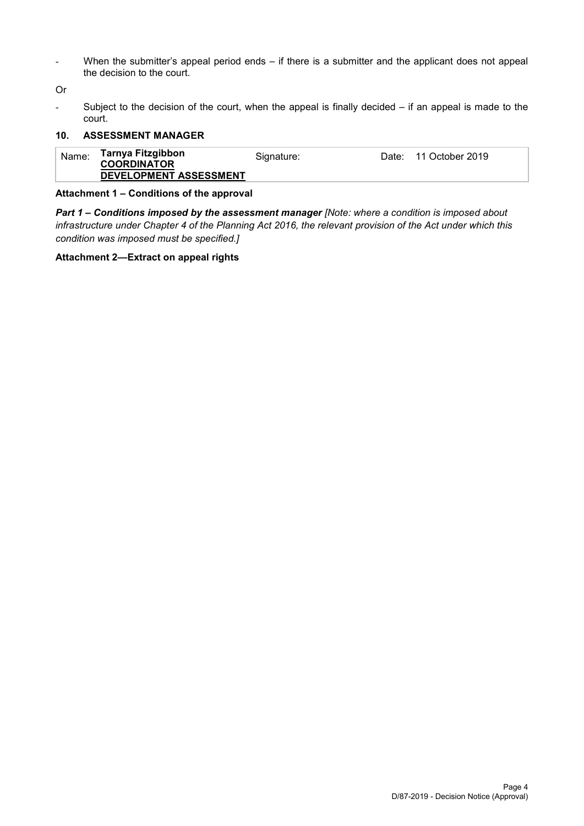- When the submitter's appeal period ends – if there is a submitter and the applicant does not appeal the decision to the court.

Or

Subject to the decision of the court, when the appeal is finally decided  $-$  if an appeal is made to the court.

#### **10. ASSESSMENT MANAGER**

| Name: | Tarnya Fitzgibbon<br><b>COORDINATOR</b><br>DEVELOPMENT ASSESSMENT | Signature: |  | Date: 11 October 2019 |  |
|-------|-------------------------------------------------------------------|------------|--|-----------------------|--|
|-------|-------------------------------------------------------------------|------------|--|-----------------------|--|

#### **Attachment 1 – Conditions of the approval**

*Part 1* **–** *Conditions imposed by the assessment manager [Note: where a condition is imposed about infrastructure under Chapter 4 of the Planning Act 2016, the relevant provision of the Act under which this condition was imposed must be specified.]*

#### **Attachment 2—Extract on appeal rights**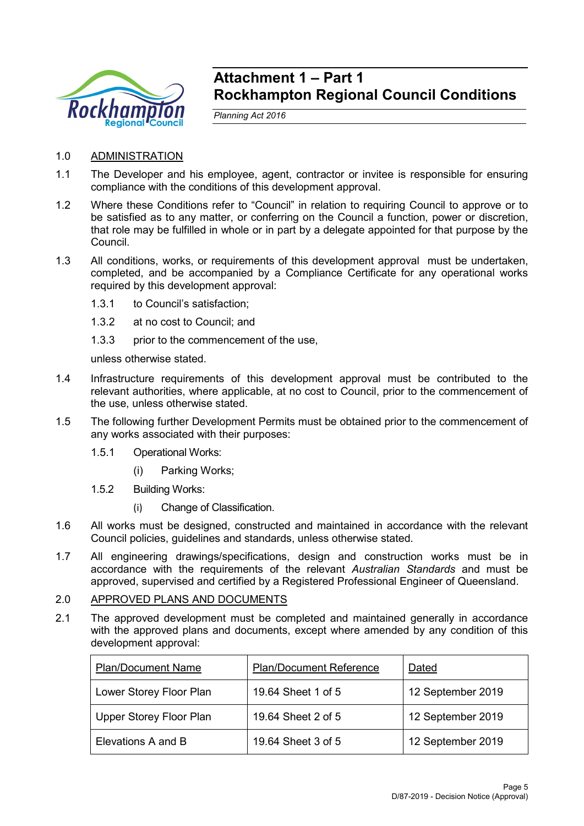

## **Attachment 1 – Part 1 Rockhampton Regional Council Conditions**

*Planning Act 2016*

- 1.0 ADMINISTRATION
- 1.1 The Developer and his employee, agent, contractor or invitee is responsible for ensuring compliance with the conditions of this development approval.
- 1.2 Where these Conditions refer to "Council" in relation to requiring Council to approve or to be satisfied as to any matter, or conferring on the Council a function, power or discretion, that role may be fulfilled in whole or in part by a delegate appointed for that purpose by the Council.
- 1.3 All conditions, works, or requirements of this development approval must be undertaken, completed, and be accompanied by a Compliance Certificate for any operational works required by this development approval:
	- 1.3.1 to Council's satisfaction;
	- 1.3.2 at no cost to Council; and
	- 1.3.3 prior to the commencement of the use,

unless otherwise stated.

- 1.4 Infrastructure requirements of this development approval must be contributed to the relevant authorities, where applicable, at no cost to Council, prior to the commencement of the use, unless otherwise stated.
- 1.5 The following further Development Permits must be obtained prior to the commencement of any works associated with their purposes:
	- 1.5.1 Operational Works:
		- (i) Parking Works;
	- 1.5.2 Building Works:
		- (i) Change of Classification.
- 1.6 All works must be designed, constructed and maintained in accordance with the relevant Council policies, guidelines and standards, unless otherwise stated.
- 1.7 All engineering drawings/specifications, design and construction works must be in accordance with the requirements of the relevant *Australian Standards* and must be approved, supervised and certified by a Registered Professional Engineer of Queensland.

## 2.0 APPROVED PLANS AND DOCUMENTS

2.1 The approved development must be completed and maintained generally in accordance with the approved plans and documents, except where amended by any condition of this development approval:

| <b>Plan/Document Name</b>      | <b>Plan/Document Reference</b> | Dated             |
|--------------------------------|--------------------------------|-------------------|
| Lower Storey Floor Plan        | 19.64 Sheet 1 of 5             | 12 September 2019 |
| <b>Upper Storey Floor Plan</b> | 19.64 Sheet 2 of 5             | 12 September 2019 |
| Elevations A and B             | 19.64 Sheet 3 of 5             | 12 September 2019 |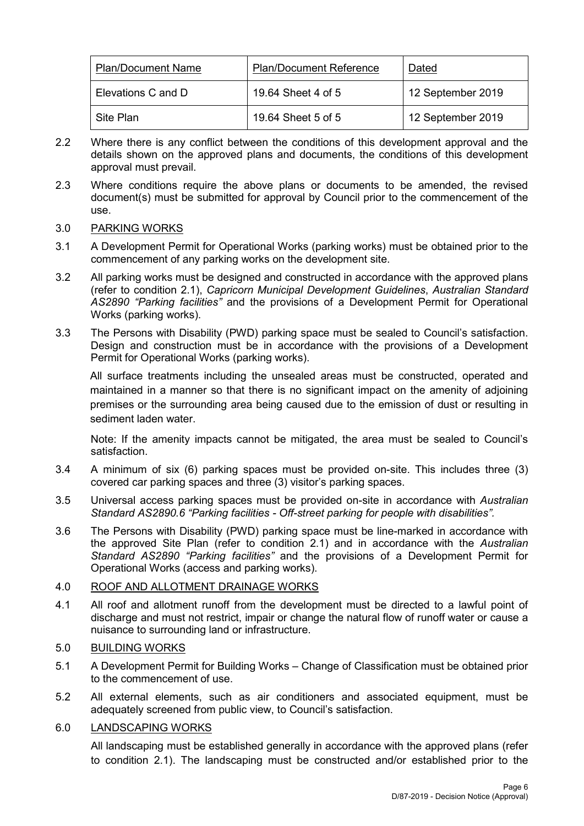| <b>Plan/Document Name</b> | <b>Plan/Document Reference</b> | Dated             |
|---------------------------|--------------------------------|-------------------|
| Elevations C and D        | 19.64 Sheet 4 of 5             | 12 September 2019 |
| Site Plan                 | 19.64 Sheet 5 of 5             | 12 September 2019 |

- 2.2 Where there is any conflict between the conditions of this development approval and the details shown on the approved plans and documents, the conditions of this development approval must prevail.
- 2.3 Where conditions require the above plans or documents to be amended, the revised document(s) must be submitted for approval by Council prior to the commencement of the use.

### 3.0 PARKING WORKS

- 3.1 A Development Permit for Operational Works (parking works) must be obtained prior to the commencement of any parking works on the development site.
- 3.2 All parking works must be designed and constructed in accordance with the approved plans (refer to condition 2.1), *Capricorn Municipal Development Guidelines*, *Australian Standard AS2890 "Parking facilities"* and the provisions of a Development Permit for Operational Works (parking works).
- 3.3 The Persons with Disability (PWD) parking space must be sealed to Council's satisfaction. Design and construction must be in accordance with the provisions of a Development Permit for Operational Works (parking works).

All surface treatments including the unsealed areas must be constructed, operated and maintained in a manner so that there is no significant impact on the amenity of adjoining premises or the surrounding area being caused due to the emission of dust or resulting in sediment laden water.

Note: If the amenity impacts cannot be mitigated, the area must be sealed to Council's satisfaction.

- 3.4 A minimum of six (6) parking spaces must be provided on-site. This includes three (3) covered car parking spaces and three (3) visitor's parking spaces.
- 3.5 Universal access parking spaces must be provided on-site in accordance with *Australian Standard AS2890.6 "Parking facilities - Off-street parking for people with disabilities".*
- 3.6 The Persons with Disability (PWD) parking space must be line-marked in accordance with the approved Site Plan (refer to condition 2.1) and in accordance with the *Australian Standard AS2890 "Parking facilities"* and the provisions of a Development Permit for Operational Works (access and parking works).

### 4.0 ROOF AND ALLOTMENT DRAINAGE WORKS

4.1 All roof and allotment runoff from the development must be directed to a lawful point of discharge and must not restrict, impair or change the natural flow of runoff water or cause a nuisance to surrounding land or infrastructure.

### 5.0 BUILDING WORKS

- 5.1 A Development Permit for Building Works Change of Classification must be obtained prior to the commencement of use.
- 5.2 All external elements, such as air conditioners and associated equipment, must be adequately screened from public view, to Council's satisfaction.

### 6.0 LANDSCAPING WORKS

All landscaping must be established generally in accordance with the approved plans (refer to condition 2.1). The landscaping must be constructed and/or established prior to the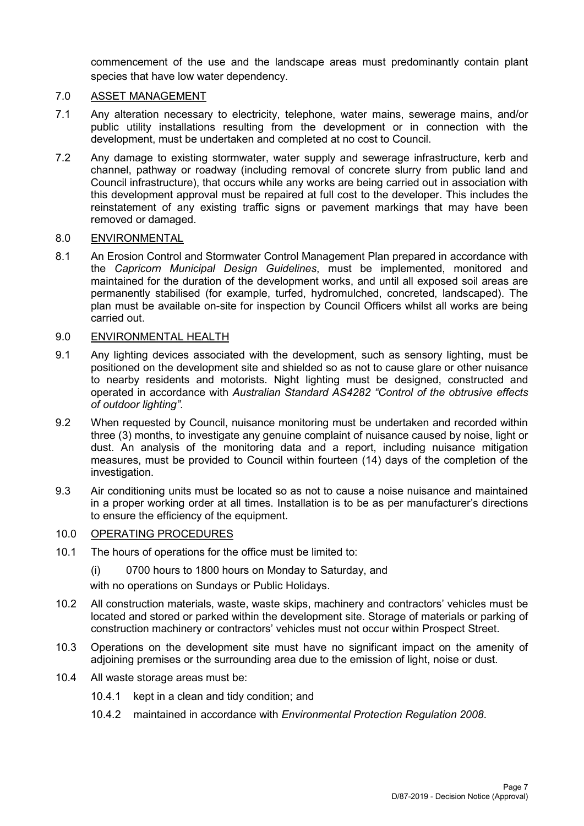commencement of the use and the landscape areas must predominantly contain plant species that have low water dependency.

#### 7.0 ASSET MANAGEMENT

- 7.1 Any alteration necessary to electricity, telephone, water mains, sewerage mains, and/or public utility installations resulting from the development or in connection with the development, must be undertaken and completed at no cost to Council.
- 7.2 Any damage to existing stormwater, water supply and sewerage infrastructure, kerb and channel, pathway or roadway (including removal of concrete slurry from public land and Council infrastructure), that occurs while any works are being carried out in association with this development approval must be repaired at full cost to the developer. This includes the reinstatement of any existing traffic signs or pavement markings that may have been removed or damaged.

#### 8.0 ENVIRONMENTAL

8.1 An Erosion Control and Stormwater Control Management Plan prepared in accordance with the *Capricorn Municipal Design Guidelines*, must be implemented, monitored and maintained for the duration of the development works, and until all exposed soil areas are permanently stabilised (for example, turfed, hydromulched, concreted, landscaped). The plan must be available on-site for inspection by Council Officers whilst all works are being carried out.

#### 9.0 ENVIRONMENTAL HEALTH

- 9.1 Any lighting devices associated with the development, such as sensory lighting, must be positioned on the development site and shielded so as not to cause glare or other nuisance to nearby residents and motorists. Night lighting must be designed, constructed and operated in accordance with *Australian Standard AS4282 "Control of the obtrusive effects of outdoor lighting"*.
- 9.2 When requested by Council, nuisance monitoring must be undertaken and recorded within three (3) months, to investigate any genuine complaint of nuisance caused by noise, light or dust. An analysis of the monitoring data and a report, including nuisance mitigation measures, must be provided to Council within fourteen (14) days of the completion of the investigation.
- 9.3 Air conditioning units must be located so as not to cause a noise nuisance and maintained in a proper working order at all times. Installation is to be as per manufacturer's directions to ensure the efficiency of the equipment.

## 10.0 OPERATING PROCEDURES

- 10.1 The hours of operations for the office must be limited to:
	- (i) 0700 hours to 1800 hours on Monday to Saturday, and

with no operations on Sundays or Public Holidays.

- 10.2 All construction materials, waste, waste skips, machinery and contractors' vehicles must be located and stored or parked within the development site. Storage of materials or parking of construction machinery or contractors' vehicles must not occur within Prospect Street.
- 10.3 Operations on the development site must have no significant impact on the amenity of adjoining premises or the surrounding area due to the emission of light, noise or dust.
- 10.4 All waste storage areas must be:
	- 10.4.1 kept in a clean and tidy condition; and
	- 10.4.2 maintained in accordance with *Environmental Protection Regulation 2008*.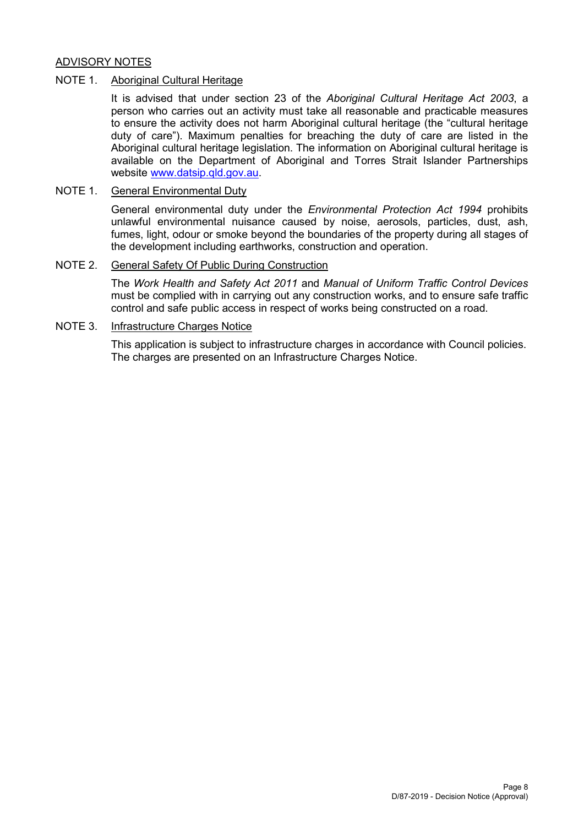## ADVISORY NOTES

#### NOTE 1. Aboriginal Cultural Heritage

It is advised that under section 23 of the *Aboriginal Cultural Heritage Act 2003*, a person who carries out an activity must take all reasonable and practicable measures to ensure the activity does not harm Aboriginal cultural heritage (the "cultural heritage duty of care"). Maximum penalties for breaching the duty of care are listed in the Aboriginal cultural heritage legislation. The information on Aboriginal cultural heritage is available on the Department of Aboriginal and Torres Strait Islander Partnerships website [www.datsip.qld.gov.au.](http://www.datsip.qld.gov.au/)

### NOTE 1. General Environmental Duty

General environmental duty under the *Environmental Protection Act 1994* prohibits unlawful environmental nuisance caused by noise, aerosols, particles, dust, ash, fumes, light, odour or smoke beyond the boundaries of the property during all stages of the development including earthworks, construction and operation.

#### NOTE 2. General Safety Of Public During Construction

The *Work Health and Safety Act 2011* and *Manual of Uniform Traffic Control Devices* must be complied with in carrying out any construction works, and to ensure safe traffic control and safe public access in respect of works being constructed on a road.

#### NOTE 3. Infrastructure Charges Notice

This application is subject to infrastructure charges in accordance with Council policies. The charges are presented on an Infrastructure Charges Notice.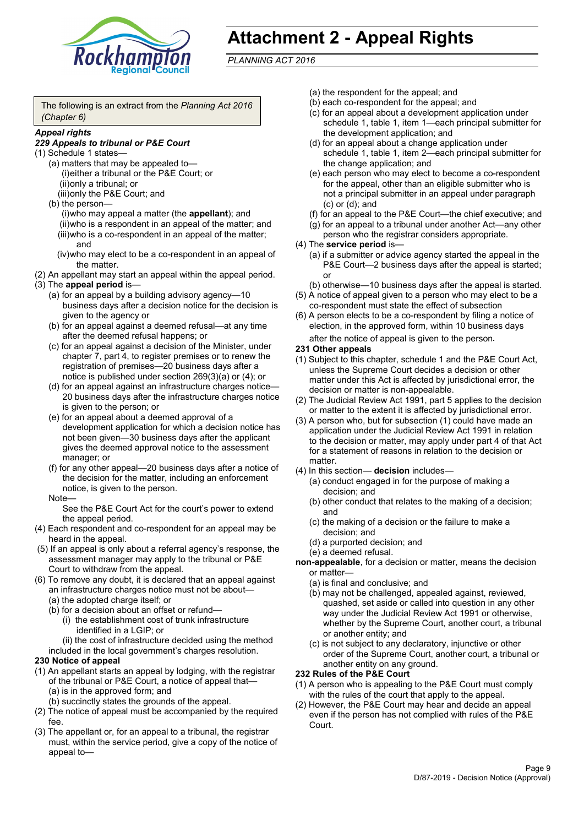

## **Attachment 2 - Appeal Rights**

*PLANNING ACT 2016*

The following is an extract from the *Planning Act 2016 (Chapter 6)*

#### *Appeal rights*

#### *229 Appeals to tribunal or P&E Court*

- (1) Schedule 1 states—
	- (a) matters that may be appealed to— (i)either a tribunal or the P&E Court; or (ii)only a tribunal; or (iii)only the P&E Court; and
	- (b) the person—

(i)who may appeal a matter (the **appellant**); and (ii)who is a respondent in an appeal of the matter; and (iii)who is a co-respondent in an appeal of the matter; and

- (iv)who may elect to be a co-respondent in an appeal of the matter.
- (2) An appellant may start an appeal within the appeal period.
- (3) The **appeal period** is—
	- (a) for an appeal by a building advisory agency—10 business days after a decision notice for the decision is given to the agency or
	- (b) for an appeal against a deemed refusal—at any time after the deemed refusal happens; or
	- (c) for an appeal against a decision of the Minister, under chapter 7, part 4, to register premises or to renew the registration of premises—20 business days after a notice is published under section 269(3)(a) or (4); or
	- (d) for an appeal against an infrastructure charges notice— 20 business days after the infrastructure charges notice is given to the person; or
	- (e) for an appeal about a deemed approval of a development application for which a decision notice has not been given—30 business days after the applicant gives the deemed approval notice to the assessment manager; or
	- (f) for any other appeal—20 business days after a notice of the decision for the matter, including an enforcement notice, is given to the person.

#### Note—

See the P&E Court Act for the court's power to extend the appeal period.

- (4) Each respondent and co-respondent for an appeal may be heard in the appeal.
- (5) If an appeal is only about a referral agency's response, the assessment manager may apply to the tribunal or P&E Court to withdraw from the appeal.
- (6) To remove any doubt, it is declared that an appeal against an infrastructure charges notice must not be about—
	- (a) the adopted charge itself; or
	- (b) for a decision about an offset or refund—
		- (i) the establishment cost of trunk infrastructure identified in a LGIP; or

(ii) the cost of infrastructure decided using the method

included in the local government's charges resolution.

#### **230 Notice of appeal**

- (1) An appellant starts an appeal by lodging, with the registrar of the tribunal or P&E Court, a notice of appeal that—
	- (a) is in the approved form; and
	- (b) succinctly states the grounds of the appeal.
- (2) The notice of appeal must be accompanied by the required fee.
- (3) The appellant or, for an appeal to a tribunal, the registrar must, within the service period, give a copy of the notice of appeal to—
- (a) the respondent for the appeal; and
- (b) each co-respondent for the appeal; and
- (c) for an appeal about a development application under schedule 1, table 1, item 1—each principal submitter for the development application; and
- (d) for an appeal about a change application under schedule 1, table 1, item 2—each principal submitter for the change application; and
- (e) each person who may elect to become a co-respondent for the appeal, other than an eligible submitter who is not a principal submitter in an appeal under paragraph (c) or (d); and
- (f) for an appeal to the P&E Court—the chief executive; and
- (g) for an appeal to a tribunal under another Act—any other person who the registrar considers appropriate.
- (4) The **service period** is—
	- (a) if a submitter or advice agency started the appeal in the P&E Court—2 business days after the appeal is started; or
	- (b) otherwise—10 business days after the appeal is started.
- (5) A notice of appeal given to a person who may elect to be a co-respondent must state the effect of subsection
- (6) A person elects to be a co-respondent by filing a notice of election, in the approved form, within 10 business days after the notice of appeal is given to the person*.*
- **231 Other appeals**
- (1) Subject to this chapter, schedule 1 and the P&E Court Act, unless the Supreme Court decides a decision or other matter under this Act is affected by jurisdictional error, the decision or matter is non-appealable.
- (2) The Judicial Review Act 1991, part 5 applies to the decision or matter to the extent it is affected by jurisdictional error.
- (3) A person who, but for subsection (1) could have made an application under the Judicial Review Act 1991 in relation to the decision or matter, may apply under part 4 of that Act for a statement of reasons in relation to the decision or matter.
- (4) In this section— **decision** includes—
	- (a) conduct engaged in for the purpose of making a decision; and
	- (b) other conduct that relates to the making of a decision; and
	- (c) the making of a decision or the failure to make a decision; and
	- (d) a purported decision; and
	- (e) a deemed refusal.

**non-appealable**, for a decision or matter, means the decision or matter—

- (a) is final and conclusive; and
- (b) may not be challenged, appealed against, reviewed, quashed, set aside or called into question in any other way under the Judicial Review Act 1991 or otherwise, whether by the Supreme Court, another court, a tribunal or another entity; and
- (c) is not subject to any declaratory, injunctive or other order of the Supreme Court, another court, a tribunal or another entity on any ground.

#### **232 Rules of the P&E Court**

- (1) A person who is appealing to the P&E Court must comply with the rules of the court that apply to the appeal.
- (2) However, the P&E Court may hear and decide an appeal even if the person has not complied with rules of the P&E Court.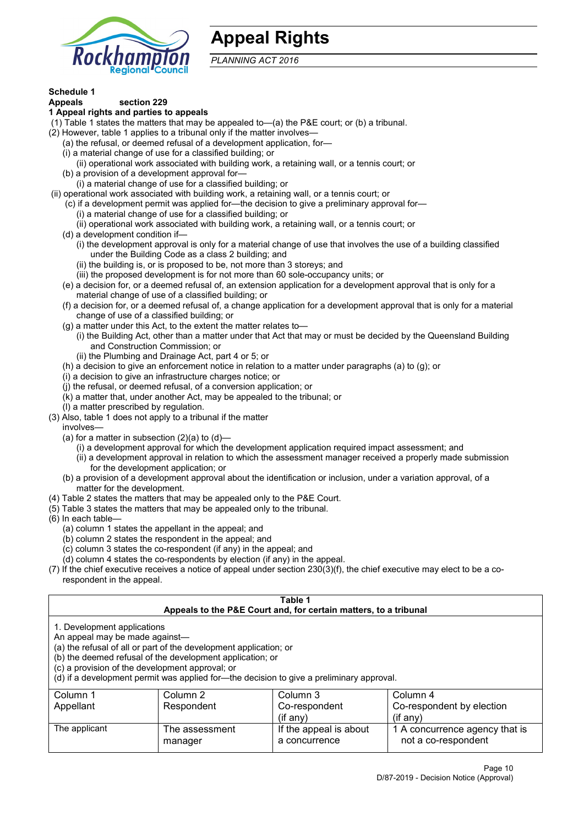

## **Appeal Rights**

*PLANNING ACT 2016*

## **Schedule 1**

#### **Appeals section 229 1 Appeal rights and parties to appeals**

- (1) Table 1 states the matters that may be appealed to—(a) the P&E court; or (b) a tribunal.
- (2) However, table 1 applies to a tribunal only if the matter involves—
	- (a) the refusal, or deemed refusal of a development application, for—
	- (i) a material change of use for a classified building; or
	- (ii) operational work associated with building work, a retaining wall, or a tennis court; or
	- (b) a provision of a development approval for—
	- (i) a material change of use for a classified building; or
- (ii) operational work associated with building work, a retaining wall, or a tennis court; or
	- (c) if a development permit was applied for—the decision to give a preliminary approval for—
		- (i) a material change of use for a classified building; or
		- (ii) operational work associated with building work, a retaining wall, or a tennis court; or
	- (d) a development condition if—
		- (i) the development approval is only for a material change of use that involves the use of a building classified under the Building Code as a class 2 building; and
		- (ii) the building is, or is proposed to be, not more than 3 storeys; and
		- (iii) the proposed development is for not more than 60 sole-occupancy units; or
	- (e) a decision for, or a deemed refusal of, an extension application for a development approval that is only for a material change of use of a classified building; or
	- (f) a decision for, or a deemed refusal of, a change application for a development approval that is only for a material change of use of a classified building; or
	- (g) a matter under this Act, to the extent the matter relates to—
		- (i) the Building Act, other than a matter under that Act that may or must be decided by the Queensland Building and Construction Commission; or
		- (ii) the Plumbing and Drainage Act, part 4 or 5; or
	- (h) a decision to give an enforcement notice in relation to a matter under paragraphs (a) to (g); or
	- (i) a decision to give an infrastructure charges notice; or
	- (j) the refusal, or deemed refusal, of a conversion application; or
	- (k) a matter that, under another Act, may be appealed to the tribunal; or
	- (l) a matter prescribed by regulation.
- (3) Also, table 1 does not apply to a tribunal if the matter

involves—

- (a) for a matter in subsection  $(2)(a)$  to  $(d)$ 
	- (i) a development approval for which the development application required impact assessment; and
	- (ii) a development approval in relation to which the assessment manager received a properly made submission for the development application; or
- (b) a provision of a development approval about the identification or inclusion, under a variation approval, of a matter for the development.
- (4) Table 2 states the matters that may be appealed only to the P&E Court.
- (5) Table 3 states the matters that may be appealed only to the tribunal.
- (6) In each table—
	- (a) column 1 states the appellant in the appeal; and
	- (b) column 2 states the respondent in the appeal; and
	- (c) column 3 states the co-respondent (if any) in the appeal; and
	- (d) column 4 states the co-respondents by election (if any) in the appeal.
- (7) If the chief executive receives a notice of appeal under section 230(3)(f), the chief executive may elect to be a corespondent in the appeal.

| Table 1<br>Appeals to the P&E Court and, for certain matters, to a tribunal |                                                                                          |                        |                                |  |  |
|-----------------------------------------------------------------------------|------------------------------------------------------------------------------------------|------------------------|--------------------------------|--|--|
|                                                                             |                                                                                          |                        |                                |  |  |
| 1. Development applications                                                 |                                                                                          |                        |                                |  |  |
| An appeal may be made against-                                              |                                                                                          |                        |                                |  |  |
|                                                                             | (a) the refusal of all or part of the development application; or                        |                        |                                |  |  |
|                                                                             | (b) the deemed refusal of the development application; or                                |                        |                                |  |  |
| (c) a provision of the development approval; or                             |                                                                                          |                        |                                |  |  |
|                                                                             | (d) if a development permit was applied for—the decision to give a preliminary approval. |                        |                                |  |  |
| Column 1                                                                    | Column 2                                                                                 | Column 3               | Column 4                       |  |  |
| Appellant                                                                   | Respondent<br>Co-respondent by election<br>Co-respondent                                 |                        |                                |  |  |
| $(if$ any)<br>$(i$ f any)                                                   |                                                                                          |                        |                                |  |  |
| The applicant                                                               | The assessment                                                                           | If the appeal is about | 1 A concurrence agency that is |  |  |
|                                                                             | manager                                                                                  | a concurrence          | not a co-respondent            |  |  |
|                                                                             |                                                                                          |                        |                                |  |  |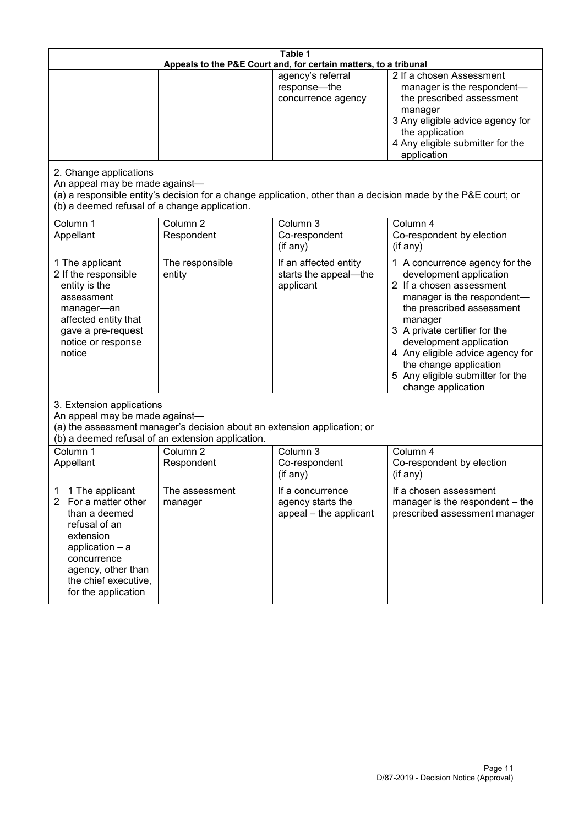| Table 1<br>Appeals to the P&E Court and, for certain matters, to a tribunal                                                                                                                           |                                   |                                                                 |                                                                                                                                                                                                                                                                                                                                                 |  |
|-------------------------------------------------------------------------------------------------------------------------------------------------------------------------------------------------------|-----------------------------------|-----------------------------------------------------------------|-------------------------------------------------------------------------------------------------------------------------------------------------------------------------------------------------------------------------------------------------------------------------------------------------------------------------------------------------|--|
|                                                                                                                                                                                                       |                                   | agency's referral<br>response-the<br>concurrence agency         | 2 If a chosen Assessment<br>manager is the respondent-<br>the prescribed assessment<br>manager<br>3 Any eligible advice agency for<br>the application<br>4 Any eligible submitter for the<br>application                                                                                                                                        |  |
| 2. Change applications<br>An appeal may be made against-<br>(b) a deemed refusal of a change application.                                                                                             |                                   |                                                                 | (a) a responsible entity's decision for a change application, other than a decision made by the P&E court; or                                                                                                                                                                                                                                   |  |
| Column 1<br>Appellant                                                                                                                                                                                 | Column <sub>2</sub><br>Respondent | Column 3<br>Co-respondent<br>(if any)                           | Column 4<br>Co-respondent by election<br>(if any)                                                                                                                                                                                                                                                                                               |  |
| 1 The applicant<br>2 If the responsible<br>entity is the<br>assessment<br>manager-an<br>affected entity that<br>gave a pre-request<br>notice or response<br>notice                                    | The responsible<br>entity         | If an affected entity<br>starts the appeal-the<br>applicant     | 1 A concurrence agency for the<br>development application<br>2 If a chosen assessment<br>manager is the respondent-<br>the prescribed assessment<br>manager<br>3 A private certifier for the<br>development application<br>4 Any eligible advice agency for<br>the change application<br>5 Any eligible submitter for the<br>change application |  |
| 3. Extension applications<br>An appeal may be made against-<br>(a) the assessment manager's decision about an extension application; or<br>(b) a deemed refusal of an extension application.          |                                   |                                                                 |                                                                                                                                                                                                                                                                                                                                                 |  |
| Column 1<br>Appellant                                                                                                                                                                                 | Column <sub>2</sub><br>Respondent | Column 3<br>Co-respondent<br>(if any)                           | Column 4<br>Co-respondent by election<br>(if any)                                                                                                                                                                                                                                                                                               |  |
| 1 The applicant<br>1<br>2<br>For a matter other<br>than a deemed<br>refusal of an<br>extension<br>application - a<br>concurrence<br>agency, other than<br>the chief executive,<br>for the application | The assessment<br>manager         | If a concurrence<br>agency starts the<br>appeal - the applicant | If a chosen assessment<br>manager is the respondent - the<br>prescribed assessment manager                                                                                                                                                                                                                                                      |  |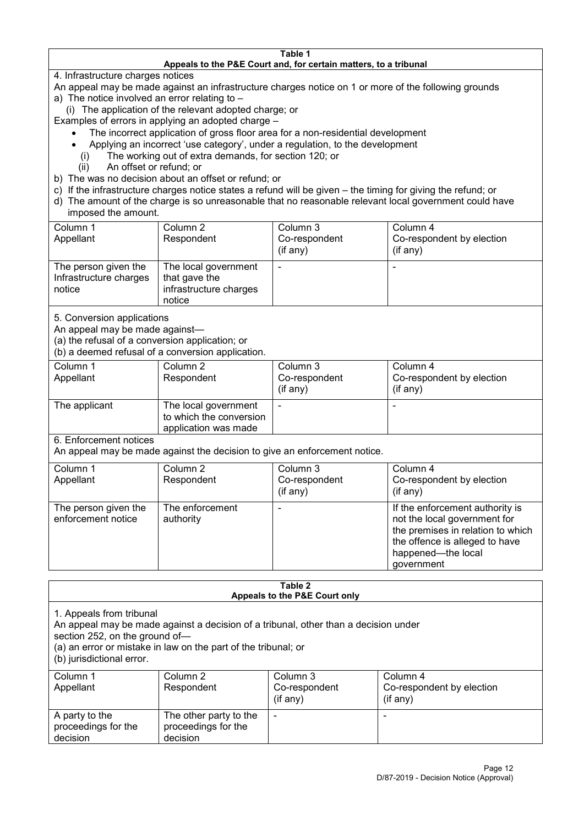#### **Table 1 Appeals to the P&E Court and, for certain matters, to a tribunal**

4. Infrastructure charges notices

- An appeal may be made against an infrastructure charges notice on 1 or more of the following grounds
- a) The notice involved an error relating to
	- (i) The application of the relevant adopted charge; or
- Examples of errors in applying an adopted charge
	- The incorrect application of gross floor area for a non-residential development
	- Applying an incorrect 'use category', under a regulation, to the development
	- (i) The working out of extra demands, for section 120; or
	- (ii) An offset or refund; or
- b) The was no decision about an offset or refund; or
- c) If the infrastructure charges notice states a refund will be given the timing for giving the refund; or
- d) The amount of the charge is so unreasonable that no reasonable relevant local government could have

### imposed the amount.

| Column 1<br>Appellant                                    | Column 2<br>Respondent                                                    | Column 3<br>Co-respondent<br>(if any) | Column 4<br>Co-respondent by election<br>$($ if any $)$ |
|----------------------------------------------------------|---------------------------------------------------------------------------|---------------------------------------|---------------------------------------------------------|
| The person given the<br>Infrastructure charges<br>notice | The local government<br>that gave the<br>infrastructure charges<br>notice | -                                     | $\overline{\phantom{0}}$                                |

5. Conversion applications

An appeal may be made against—

(a) the refusal of a conversion application; or

(b) a deemed refusal of a conversion application.

| Column 1<br>Appellant | Column 2<br>Respondent                                                  | Column 3<br>Co-respondent<br>$($ if any $)$ | Column 4<br>Co-respondent by election<br>$($ if any $)$ |
|-----------------------|-------------------------------------------------------------------------|---------------------------------------------|---------------------------------------------------------|
| The applicant         | The local government<br>to which the conversion<br>application was made |                                             | $\overline{\phantom{0}}$                                |

6. Enforcement notices

An appeal may be made against the decision to give an enforcement notice.

| Column 1                                   | Column 2                     | Column 3      | Column 4                                                                                                                                                                   |
|--------------------------------------------|------------------------------|---------------|----------------------------------------------------------------------------------------------------------------------------------------------------------------------------|
| Appellant                                  | Respondent                   | Co-respondent | Co-respondent by election                                                                                                                                                  |
|                                            |                              | (if any)      | $($ if any $)$                                                                                                                                                             |
| The person given the<br>enforcement notice | The enforcement<br>authority |               | If the enforcement authority is<br>not the local government for<br>the premises in relation to which<br>the offence is alleged to have<br>happened-the local<br>government |

#### **Table 2 Appeals to the P&E Court only**

1. Appeals from tribunal

An appeal may be made against a decision of a tribunal, other than a decision under

section 252, on the ground of—

(a) an error or mistake in law on the part of the tribunal; or

(b) jurisdictional error.

| Column 1<br>Appellant                             | Column 2<br>Respondent                                    | Column 3<br>Co-respondent<br>$($ if any $)$ | Column 4<br>Co-respondent by election<br>(if any) |
|---------------------------------------------------|-----------------------------------------------------------|---------------------------------------------|---------------------------------------------------|
| A party to the<br>proceedings for the<br>decision | The other party to the<br>proceedings for the<br>decision | ۰                                           |                                                   |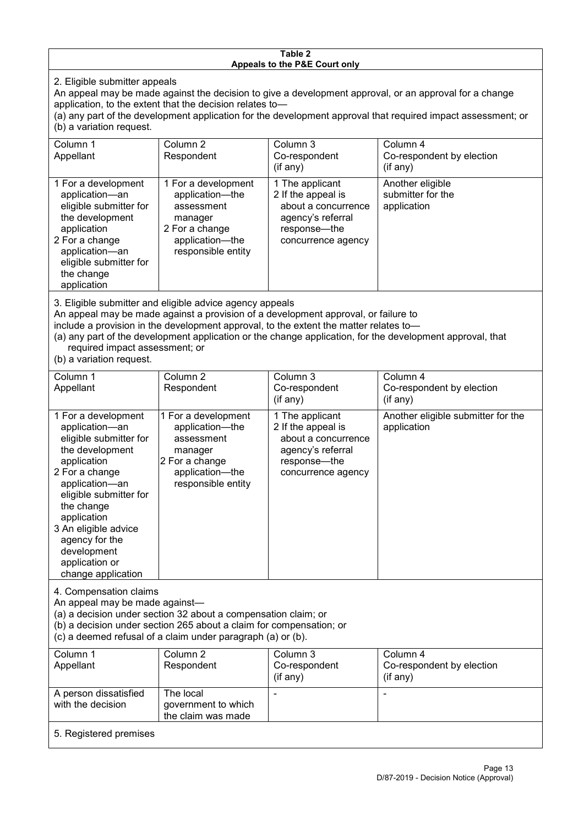#### **Table 2 Appeals to the P&E Court only**

2. Eligible submitter appeals

An appeal may be made against the decision to give a development approval, or an approval for a change application, to the extent that the decision relates to—

(a) any part of the development application for the development approval that required impact assessment; or (b) a variation request.

| Column 1<br>Appellant                                                                                                                                                                                                             | Column 2<br>Respondent                                                                                                     | Column 3<br>Co-respondent<br>(if any)                                                                                     | Column 4<br>Co-respondent by election<br>(if any)    |  |
|-----------------------------------------------------------------------------------------------------------------------------------------------------------------------------------------------------------------------------------|----------------------------------------------------------------------------------------------------------------------------|---------------------------------------------------------------------------------------------------------------------------|------------------------------------------------------|--|
| 1 For a development<br>application-an<br>eligible submitter for<br>the development<br>application<br>2 For a change<br>application-an<br>eligible submitter for<br>the change<br>application                                      | 1 For a development<br>application-the<br>assessment<br>manager<br>2 For a change<br>application-the<br>responsible entity | 1 The applicant<br>2 If the appeal is<br>about a concurrence<br>agency's referral<br>response---the<br>concurrence agency | Another eligible<br>submitter for the<br>application |  |
| $\mathsf{A}$ . Figure 1. The contract of the contract of the contract of the contract of the contract of the contract of the contract of the contract of the contract of the contract of the contract of the contract of the cont |                                                                                                                            |                                                                                                                           |                                                      |  |

3. Eligible submitter and eligible advice agency appeals

An appeal may be made against a provision of a development approval, or failure to

include a provision in the development approval, to the extent the matter relates to—

(a) any part of the development application or the change application, for the development approval, that required impact assessment; or

(b) a variation request.

| Column 1<br>Appellant                                                                                                                                                                                                                                                                         | Column <sub>2</sub><br>Respondent                                                                                          | Column 3<br>Co-respondent<br>(if any)                                                                                   | Column 4<br>Co-respondent by election<br>(if any) |
|-----------------------------------------------------------------------------------------------------------------------------------------------------------------------------------------------------------------------------------------------------------------------------------------------|----------------------------------------------------------------------------------------------------------------------------|-------------------------------------------------------------------------------------------------------------------------|---------------------------------------------------|
| 1 For a development<br>application-an<br>eligible submitter for<br>the development<br>application<br>2 For a change<br>application-an<br>eligible submitter for<br>the change<br>application<br>3 An eligible advice<br>agency for the<br>development<br>application or<br>change application | 1 For a development<br>application-the<br>assessment<br>manager<br>2 For a change<br>application-the<br>responsible entity | 1 The applicant<br>2 If the appeal is<br>about a concurrence<br>agency's referral<br>response-the<br>concurrence agency | Another eligible submitter for the<br>application |
| 4. Compensation claims<br>An appeal may be made against-<br>(a) a decision under section 32 about a compensation claim; or<br>(b) a decision under section 265 about a claim for compensation; or<br>(c) a deemed refusal of a claim under paragraph (a) or (b).                              |                                                                                                                            |                                                                                                                         |                                                   |
| Column 1<br>Appellant                                                                                                                                                                                                                                                                         | Column <sub>2</sub><br>Respondent                                                                                          | Column 3<br>Co-respondent<br>(if any)                                                                                   | Column 4<br>Co-respondent by election<br>(if any) |
| A person dissatisfied<br>with the decision                                                                                                                                                                                                                                                    | The local<br>government to which<br>the claim was made                                                                     |                                                                                                                         |                                                   |
| 5. Registered premises                                                                                                                                                                                                                                                                        |                                                                                                                            |                                                                                                                         |                                                   |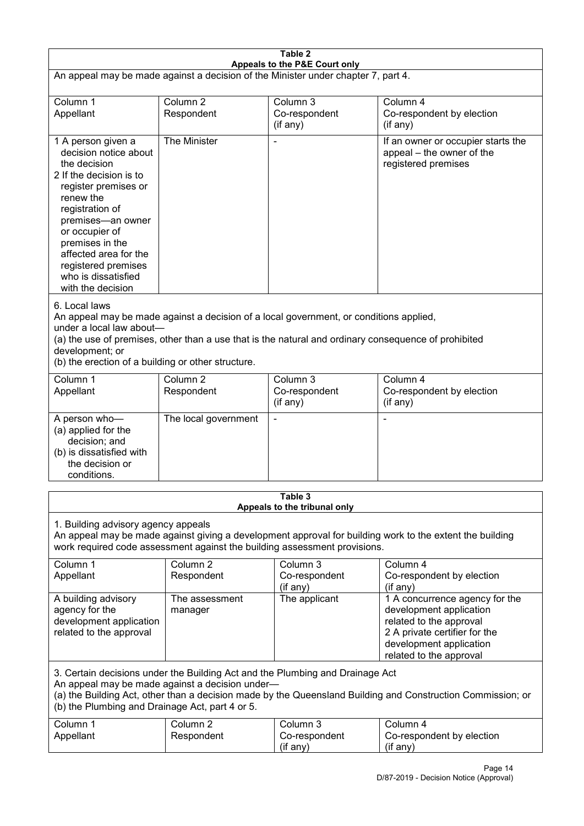| Table 2<br>Appeals to the P&E Court only                                                                                                                                                                                                                                                             |                                   |                                                                                                                                                                                                |                                                                                                                                                                             |  |
|------------------------------------------------------------------------------------------------------------------------------------------------------------------------------------------------------------------------------------------------------------------------------------------------------|-----------------------------------|------------------------------------------------------------------------------------------------------------------------------------------------------------------------------------------------|-----------------------------------------------------------------------------------------------------------------------------------------------------------------------------|--|
| An appeal may be made against a decision of the Minister under chapter 7, part 4.                                                                                                                                                                                                                    |                                   |                                                                                                                                                                                                |                                                                                                                                                                             |  |
| Column 1<br>Appellant                                                                                                                                                                                                                                                                                | Column <sub>2</sub><br>Respondent | Column 3<br>Co-respondent<br>(if any)                                                                                                                                                          | Column 4<br>Co-respondent by election<br>(if any)                                                                                                                           |  |
| 1 A person given a<br>decision notice about<br>the decision<br>2 If the decision is to<br>register premises or<br>renew the<br>registration of<br>premises-an owner<br>or occupier of<br>premises in the<br>affected area for the<br>registered premises<br>who is dissatisfied<br>with the decision | The Minister                      |                                                                                                                                                                                                | If an owner or occupier starts the<br>appeal - the owner of the<br>registered premises                                                                                      |  |
| 6. Local laws<br>under a local law about-<br>development; or<br>(b) the erection of a building or other structure.                                                                                                                                                                                   |                                   | An appeal may be made against a decision of a local government, or conditions applied,<br>(a) the use of premises, other than a use that is the natural and ordinary consequence of prohibited |                                                                                                                                                                             |  |
| Column 1<br>Appellant                                                                                                                                                                                                                                                                                | Column <sub>2</sub><br>Respondent | Column 3<br>Co-respondent<br>(if any)                                                                                                                                                          | Column 4<br>Co-respondent by election<br>(if any)                                                                                                                           |  |
| A person who-<br>(a) applied for the<br>decision; and<br>(b) is dissatisfied with<br>the decision or<br>conditions.                                                                                                                                                                                  | The local government              |                                                                                                                                                                                                | ٠                                                                                                                                                                           |  |
|                                                                                                                                                                                                                                                                                                      |                                   | Table 3<br>Appeals to the tribunal only                                                                                                                                                        |                                                                                                                                                                             |  |
| 1. Building advisory agency appeals<br>An appeal may be made against giving a development approval for building work to the extent the building<br>work required code assessment against the building assessment provisions.                                                                         |                                   |                                                                                                                                                                                                |                                                                                                                                                                             |  |
| Column 1<br>Appellant                                                                                                                                                                                                                                                                                | Column <sub>2</sub><br>Respondent | Column 3<br>Co-respondent<br>(if any)                                                                                                                                                          | Column 4<br>Co-respondent by election<br>(if any)                                                                                                                           |  |
| A building advisory<br>agency for the<br>development application<br>related to the approval                                                                                                                                                                                                          | The assessment<br>manager         | The applicant                                                                                                                                                                                  | 1 A concurrence agency for the<br>development application<br>related to the approval<br>2 A private certifier for the<br>development application<br>related to the approval |  |
| 3. Certain decisions under the Building Act and the Plumbing and Drainage Act<br>An appeal may be made against a decision under-<br>(a) the Building Act, other than a decision made by the Queensland Building and Construction Commission; or<br>(b) the Plumbing and Drainage Act, part 4 or 5.   |                                   |                                                                                                                                                                                                |                                                                                                                                                                             |  |
| Column 1<br>Appellant                                                                                                                                                                                                                                                                                | Column <sub>2</sub><br>Respondent | Column 3<br>Co-respondent<br>(if any)                                                                                                                                                          | Column 4<br>Co-respondent by election<br>(if any)                                                                                                                           |  |